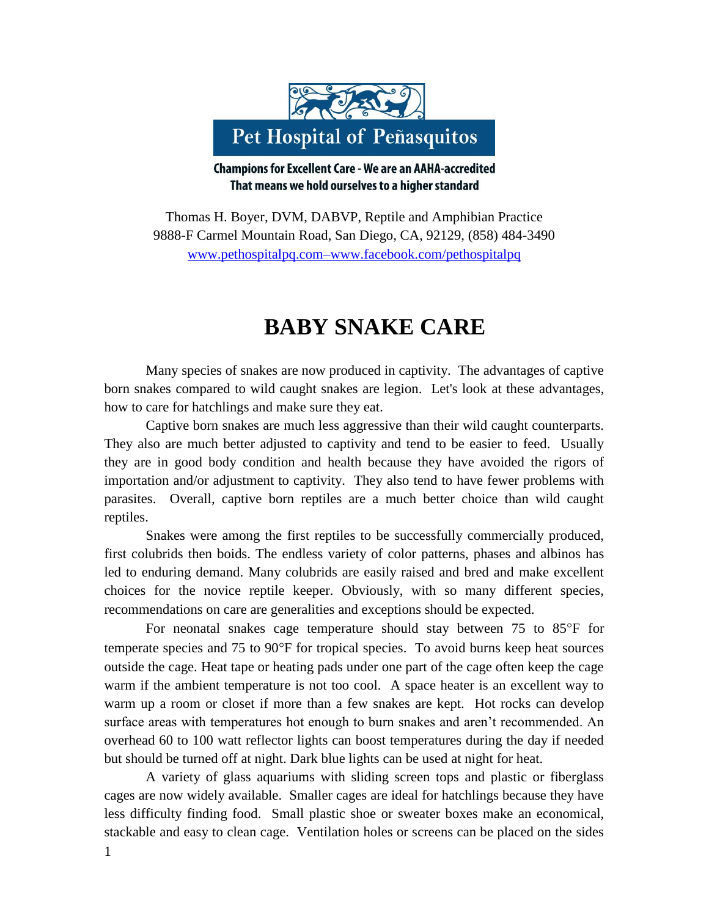

**Champions for Excellent Care - We are an AAHA-accredited** That means we hold ourselves to a higher standard

Thomas H. Boyer, DVM, DABVP, Reptile and Amphibian Practice 9888-F Carmel Mountain Road, San Diego, CA, 92129, (858) 484-3490 [www.pethospitalpq.com–www.facebook.com/pethospitalpq](http://www.pethospitalpq.com–www.facebook.com/pethospitalpq)

## **BABY SNAKE CARE**

Many species of snakes are now produced in captivity. The advantages of captive born snakes compared to wild caught snakes are legion. Let's look at these advantages, how to care for hatchlings and make sure they eat.

Captive born snakes are much less aggressive than their wild caught counterparts. They also are much better adjusted to captivity and tend to be easier to feed. Usually they are in good body condition and health because they have avoided the rigors of importation and/or adjustment to captivity. They also tend to have fewer problems with parasites. Overall, captive born reptiles are a much better choice than wild caught reptiles.

Snakes were among the first reptiles to be successfully commercially produced, first colubrids then boids. The endless variety of color patterns, phases and albinos has led to enduring demand. Many colubrids are easily raised and bred and make excellent choices for the novice reptile keeper. Obviously, with so many different species, recommendations on care are generalities and exceptions should be expected.

For neonatal snakes cage temperature should stay between  $75$  to  $85^{\circ}$ F for temperate species and  $75$  to  $90^{\circ}$ F for tropical species. To avoid burns keep heat sources outside the cage. Heat tape or heating pads under one part of the cage often keep the cage warm if the ambient temperature is not too cool. A space heater is an excellent way to warm up a room or closet if more than a few snakes are kept. Hot rocks can develop surface areas with temperatures hot enough to burn snakes and aren't recommended. An overhead 60 to 100 watt reflector lights can boost temperatures during the day if needed but should be turned off at night. Dark blue lights can be used at night for heat.

A variety of glass aquariums with sliding screen tops and plastic or fiberglass cages are now widely available. Smaller cages are ideal for hatchlings because they have less difficulty finding food. Small plastic shoe or sweater boxes make an economical, stackable and easy to clean cage. Ventilation holes or screens can be placed on the sides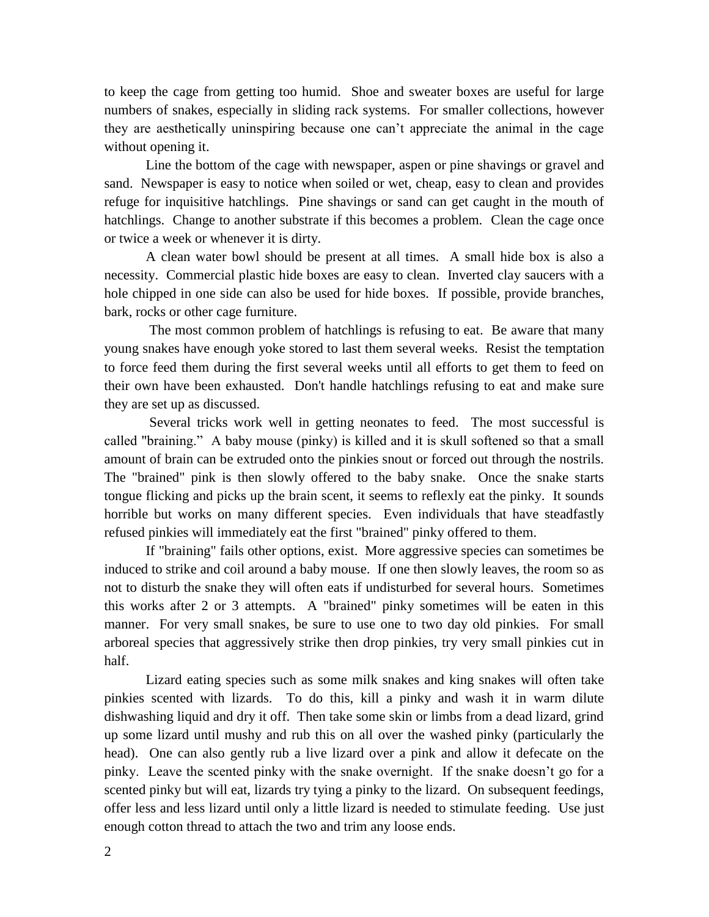to keep the cage from getting too humid. Shoe and sweater boxes are useful for large numbers of snakes, especially in sliding rack systems. For smaller collections, however they are aesthetically uninspiring because one can't appreciate the animal in the cage without opening it.

Line the bottom of the cage with newspaper, aspen or pine shavings or gravel and sand. Newspaper is easy to notice when soiled or wet, cheap, easy to clean and provides refuge for inquisitive hatchlings. Pine shavings or sand can get caught in the mouth of hatchlings. Change to another substrate if this becomes a problem. Clean the cage once or twice a week or whenever it is dirty.

A clean water bowl should be present at all times. A small hide box is also a necessity. Commercial plastic hide boxes are easy to clean. Inverted clay saucers with a hole chipped in one side can also be used for hide boxes. If possible, provide branches, bark, rocks or other cage furniture.

The most common problem of hatchlings is refusing to eat. Be aware that many young snakes have enough yoke stored to last them several weeks. Resist the temptation to force feed them during the first several weeks until all efforts to get them to feed on their own have been exhausted. Don't handle hatchlings refusing to eat and make sure they are set up as discussed.

Several tricks work well in getting neonates to feed. The most successful is called "braining." A baby mouse (pinky) is killed and it is skull softened so that a small amount of brain can be extruded onto the pinkies snout or forced out through the nostrils. The "brained" pink is then slowly offered to the baby snake. Once the snake starts tongue flicking and picks up the brain scent, it seems to reflexly eat the pinky. It sounds horrible but works on many different species. Even individuals that have steadfastly refused pinkies will immediately eat the first "brained" pinky offered to them.

If "braining" fails other options, exist. More aggressive species can sometimes be induced to strike and coil around a baby mouse. If one then slowly leaves, the room so as not to disturb the snake they will often eats if undisturbed for several hours. Sometimes this works after 2 or 3 attempts. A "brained" pinky sometimes will be eaten in this manner. For very small snakes, be sure to use one to two day old pinkies. For small arboreal species that aggressively strike then drop pinkies, try very small pinkies cut in half.

Lizard eating species such as some milk snakes and king snakes will often take pinkies scented with lizards. To do this, kill a pinky and wash it in warm dilute dishwashing liquid and dry it off. Then take some skin or limbs from a dead lizard, grind up some lizard until mushy and rub this on all over the washed pinky (particularly the head). One can also gently rub a live lizard over a pink and allow it defecate on the pinky. Leave the scented pinky with the snake overnight. If the snake doesn't go for a scented pinky but will eat, lizards try tying a pinky to the lizard. On subsequent feedings, offer less and less lizard until only a little lizard is needed to stimulate feeding. Use just enough cotton thread to attach the two and trim any loose ends.